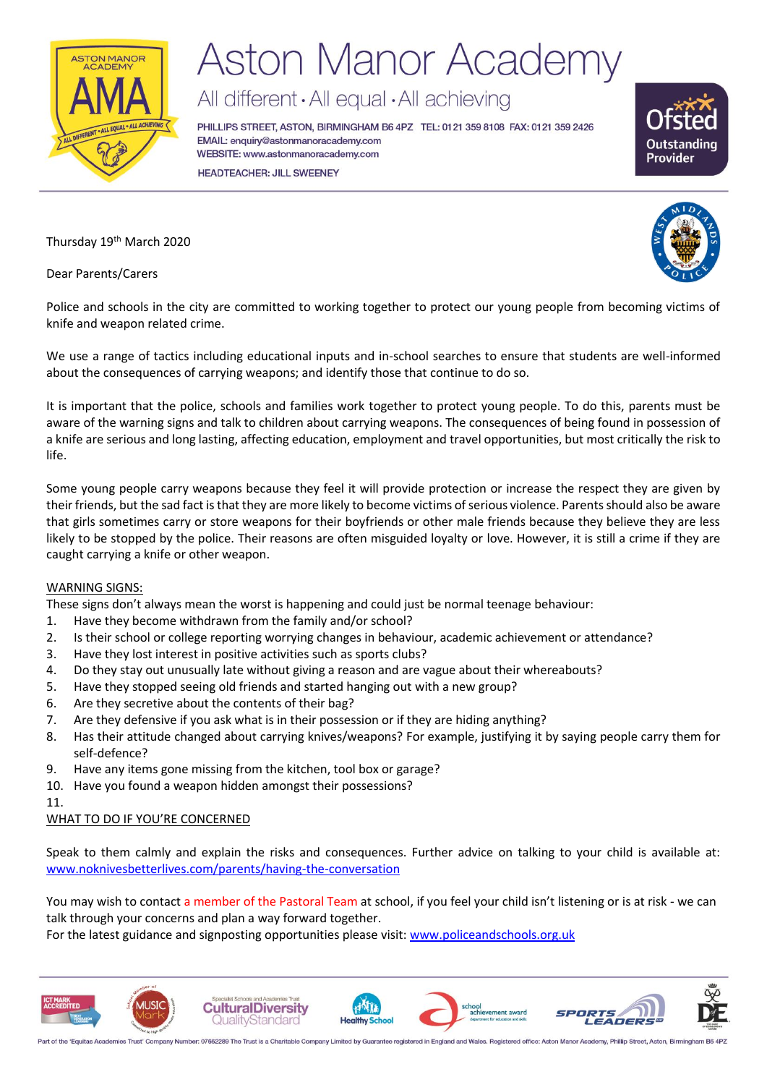

# **Aston Manor Academy**

All different · All equal · All achieving

PHILLIPS STREET, ASTON, BIRMINGHAM B6 4PZ TEL: 0121 359 8108 FAX: 0121 359 2426 EMAIL: enquiry@astonmanoracademy.com WEBSITE: www.astonmanoracademy.com **HEADTEACHER: JILL SWEENEY** 



Thursday 19<sup>th</sup> March 2020

Dear Parents/Carers



Police and schools in the city are committed to working together to protect our young people from becoming victims of knife and weapon related crime.

We use a range of tactics including educational inputs and in-school searches to ensure that students are well-informed about the consequences of carrying weapons; and identify those that continue to do so.

It is important that the police, schools and families work together to protect young people. To do this, parents must be aware of the warning signs and talk to children about carrying weapons. The consequences of being found in possession of a knife are serious and long lasting, affecting education, employment and travel opportunities, but most critically the risk to life.

Some young people carry weapons because they feel it will provide protection or increase the respect they are given by their friends, but the sad fact is that they are more likely to become victims of serious violence. Parents should also be aware that girls sometimes carry or store weapons for their boyfriends or other male friends because they believe they are less likely to be stopped by the police. Their reasons are often misguided loyalty or love. However, it is still a crime if they are caught carrying a knife or other weapon.

### WARNING SIGNS:

These signs don't always mean the worst is happening and could just be normal teenage behaviour:

- 1. Have they become withdrawn from the family and/or school?
- 2. Is their school or college reporting worrying changes in behaviour, academic achievement or attendance?
- 3. Have they lost interest in positive activities such as sports clubs?
- 4. Do they stay out unusually late without giving a reason and are vague about their whereabouts?
- 5. Have they stopped seeing old friends and started hanging out with a new group?
- 6. Are they secretive about the contents of their bag?
- 7. Are they defensive if you ask what is in their possession or if they are hiding anything?
- 8. Has their attitude changed about carrying knives/weapons? For example, justifying it by saying people carry them for self-defence?
- 9. Have any items gone missing from the kitchen, tool box or garage?
- 10. Have you found a weapon hidden amongst their possessions?
- 11.

### WHAT TO DO IF YOU'RE CONCERNED

Speak to them calmly and explain the risks and consequences. Further advice on talking to your child is available at: [www.noknivesbetterlives.com/parents/having-the-conversation](http://www.noknivesbetterlives.com/parents/having-the-conversation)

You may wish to contact a member of the Pastoral Team at school, if you feel your child isn't listening or is at risk - we can talk through your concerns and plan a way forward together.

For the latest guidance and signposting opportunities please visit: [www.policeandschools.org.uk](http://www.policeandschools.org.uk/)